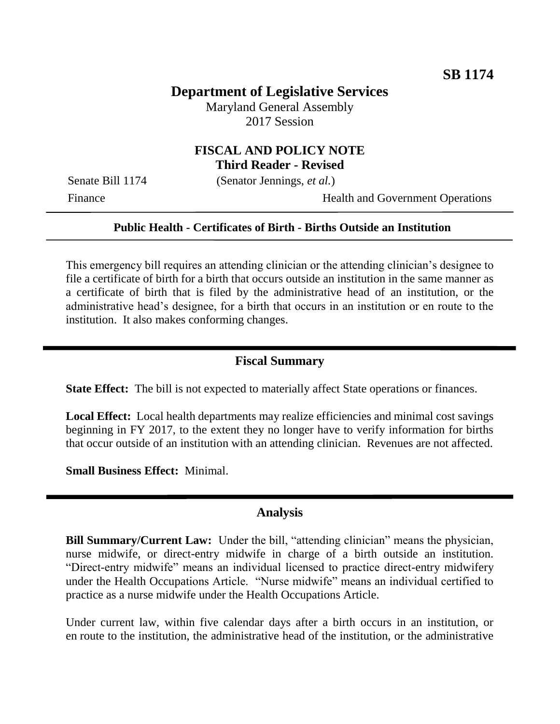# **Department of Legislative Services**

Maryland General Assembly 2017 Session

### **FISCAL AND POLICY NOTE Third Reader - Revised**

Senate Bill 1174 (Senator Jennings, *et al.*)

Finance Health and Government Operations

#### **Public Health - Certificates of Birth - Births Outside an Institution**

This emergency bill requires an attending clinician or the attending clinician's designee to file a certificate of birth for a birth that occurs outside an institution in the same manner as a certificate of birth that is filed by the administrative head of an institution, or the administrative head's designee, for a birth that occurs in an institution or en route to the institution. It also makes conforming changes.

#### **Fiscal Summary**

**State Effect:** The bill is not expected to materially affect State operations or finances.

**Local Effect:** Local health departments may realize efficiencies and minimal cost savings beginning in FY 2017, to the extent they no longer have to verify information for births that occur outside of an institution with an attending clinician. Revenues are not affected.

**Small Business Effect:** Minimal.

#### **Analysis**

**Bill Summary/Current Law:** Under the bill, "attending clinician" means the physician, nurse midwife, or direct-entry midwife in charge of a birth outside an institution. "Direct-entry midwife" means an individual licensed to practice direct-entry midwifery under the Health Occupations Article. "Nurse midwife" means an individual certified to practice as a nurse midwife under the Health Occupations Article.

Under current law, within five calendar days after a birth occurs in an institution, or en route to the institution, the administrative head of the institution, or the administrative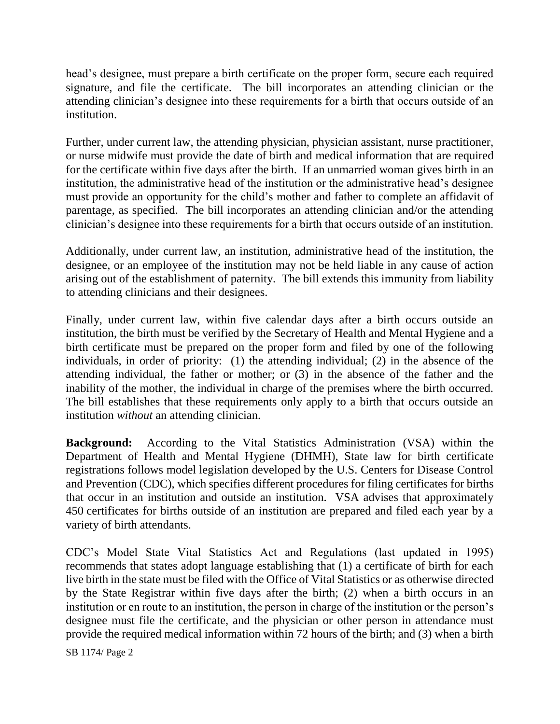head's designee, must prepare a birth certificate on the proper form, secure each required signature, and file the certificate. The bill incorporates an attending clinician or the attending clinician's designee into these requirements for a birth that occurs outside of an institution.

Further, under current law, the attending physician, physician assistant, nurse practitioner, or nurse midwife must provide the date of birth and medical information that are required for the certificate within five days after the birth. If an unmarried woman gives birth in an institution, the administrative head of the institution or the administrative head's designee must provide an opportunity for the child's mother and father to complete an affidavit of parentage, as specified. The bill incorporates an attending clinician and/or the attending clinician's designee into these requirements for a birth that occurs outside of an institution.

Additionally, under current law, an institution, administrative head of the institution, the designee, or an employee of the institution may not be held liable in any cause of action arising out of the establishment of paternity. The bill extends this immunity from liability to attending clinicians and their designees.

Finally, under current law, within five calendar days after a birth occurs outside an institution, the birth must be verified by the Secretary of Health and Mental Hygiene and a birth certificate must be prepared on the proper form and filed by one of the following individuals, in order of priority: (1) the attending individual; (2) in the absence of the attending individual, the father or mother; or (3) in the absence of the father and the inability of the mother, the individual in charge of the premises where the birth occurred. The bill establishes that these requirements only apply to a birth that occurs outside an institution *without* an attending clinician.

**Background:** According to the Vital Statistics Administration (VSA) within the Department of Health and Mental Hygiene (DHMH), State law for birth certificate registrations follows model legislation developed by the U.S. Centers for Disease Control and Prevention (CDC), which specifies different procedures for filing certificates for births that occur in an institution and outside an institution. VSA advises that approximately 450 certificates for births outside of an institution are prepared and filed each year by a variety of birth attendants.

CDC's Model State Vital Statistics Act and Regulations (last updated in 1995) recommends that states adopt language establishing that (1) a certificate of birth for each live birth in the state must be filed with the Office of Vital Statistics or as otherwise directed by the State Registrar within five days after the birth; (2) when a birth occurs in an institution or en route to an institution, the person in charge of the institution or the person's designee must file the certificate, and the physician or other person in attendance must provide the required medical information within 72 hours of the birth; and (3) when a birth

SB 1174/ Page 2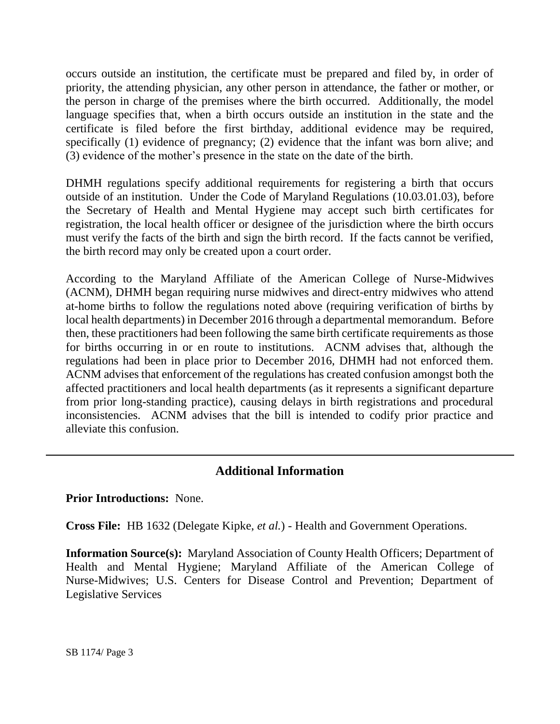occurs outside an institution, the certificate must be prepared and filed by, in order of priority, the attending physician, any other person in attendance, the father or mother, or the person in charge of the premises where the birth occurred. Additionally, the model language specifies that, when a birth occurs outside an institution in the state and the certificate is filed before the first birthday, additional evidence may be required, specifically (1) evidence of pregnancy; (2) evidence that the infant was born alive; and (3) evidence of the mother's presence in the state on the date of the birth.

DHMH regulations specify additional requirements for registering a birth that occurs outside of an institution. Under the Code of Maryland Regulations (10.03.01.03), before the Secretary of Health and Mental Hygiene may accept such birth certificates for registration, the local health officer or designee of the jurisdiction where the birth occurs must verify the facts of the birth and sign the birth record. If the facts cannot be verified, the birth record may only be created upon a court order.

According to the Maryland Affiliate of the American College of Nurse-Midwives (ACNM), DHMH began requiring nurse midwives and direct-entry midwives who attend at-home births to follow the regulations noted above (requiring verification of births by local health departments) in December 2016 through a departmental memorandum. Before then, these practitioners had been following the same birth certificate requirements as those for births occurring in or en route to institutions. ACNM advises that, although the regulations had been in place prior to December 2016, DHMH had not enforced them. ACNM advises that enforcement of the regulations has created confusion amongst both the affected practitioners and local health departments (as it represents a significant departure from prior long-standing practice), causing delays in birth registrations and procedural inconsistencies. ACNM advises that the bill is intended to codify prior practice and alleviate this confusion.

## **Additional Information**

#### **Prior Introductions:** None.

**Cross File:** HB 1632 (Delegate Kipke, *et al.*) - Health and Government Operations.

**Information Source(s):** Maryland Association of County Health Officers; Department of Health and Mental Hygiene; Maryland Affiliate of the American College of Nurse-Midwives; U.S. Centers for Disease Control and Prevention; Department of Legislative Services